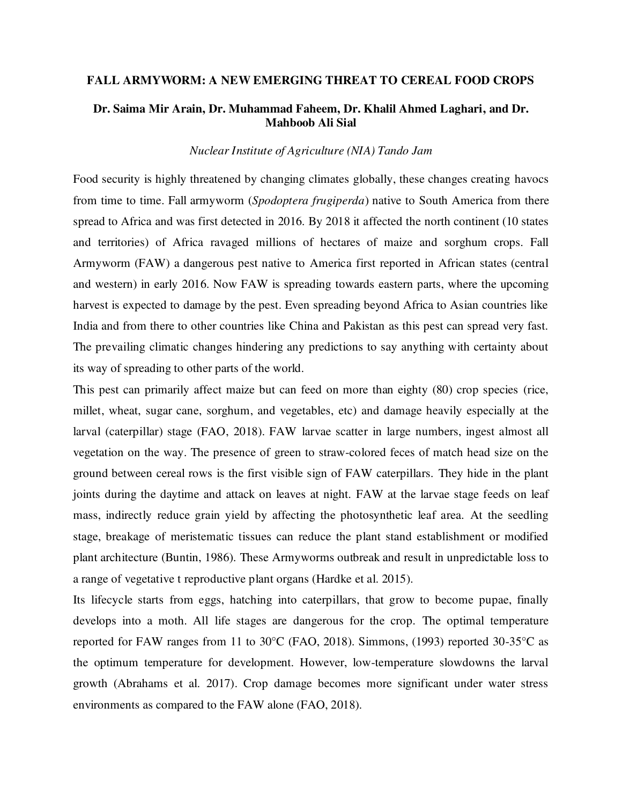#### **FALL ARMYWORM: A NEW EMERGING THREAT TO CEREAL FOOD CROPS**

## **Dr. Saima Mir Arain, Dr. Muhammad Faheem, Dr. Khalil Ahmed Laghari, and Dr. Mahboob Ali Sial**

#### *Nuclear Institute of Agriculture (NIA) Tando Jam*

Food security is highly threatened by changing climates globally, these changes creating havocs from time to time. Fall armyworm (*Spodoptera frugiperda*) native to South America from there spread to Africa and was first detected in 2016. By 2018 it affected the north continent (10 states and territories) of Africa ravaged millions of hectares of maize and sorghum crops. Fall Armyworm (FAW) a dangerous pest native to America first reported in African states (central and western) in early 2016. Now FAW is spreading towards eastern parts, where the upcoming harvest is expected to damage by the pest. Even spreading beyond Africa to Asian countries like India and from there to other countries like China and Pakistan as this pest can spread very fast. The prevailing climatic changes hindering any predictions to say anything with certainty about its way of spreading to other parts of the world.

This pest can primarily affect maize but can feed on more than eighty (80) crop species (rice, millet, wheat, sugar cane, sorghum, and vegetables, etc) and damage heavily especially at the larval (caterpillar) stage (FAO, 2018). FAW larvae scatter in large numbers, ingest almost all vegetation on the way. The presence of green to straw-colored feces of match head size on the ground between cereal rows is the first visible sign of FAW caterpillars. They hide in the plant joints during the daytime and attack on leaves at night. FAW at the larvae stage feeds on leaf mass, indirectly reduce grain yield by affecting the photosynthetic leaf area. At the seedling stage, breakage of meristematic tissues can reduce the plant stand establishment or modified plant architecture (Buntin, 1986). These Armyworms outbreak and result in unpredictable loss to a range of vegetative t reproductive plant organs (Hardke et al. 2015).

Its lifecycle starts from eggs, hatching into caterpillars, that grow to become pupae, finally develops into a moth. All life stages are dangerous for the crop. The optimal temperature reported for FAW ranges from 11 to 30°C (FAO, 2018). Simmons, (1993) reported 30-35°C as the optimum temperature for development. However, low-temperature slowdowns the larval growth (Abrahams et al. 2017). Crop damage becomes more significant under water stress environments as compared to the FAW alone (FAO, 2018).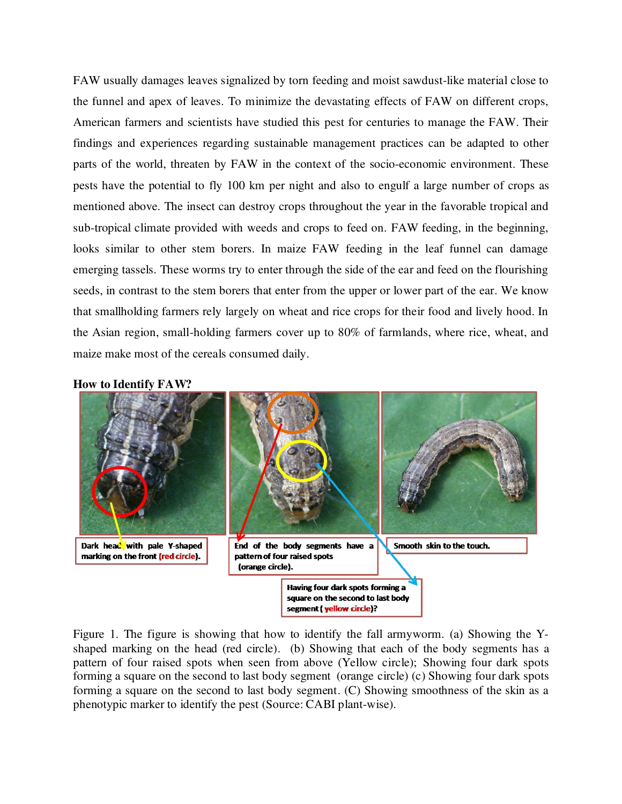FAW usually damages leaves signalized by torn feeding and moist sawdust-like material close to the funnel and apex of leaves. To minimize the devastating effects of FAW on different crops, American farmers and scientists have studied this pest for centuries to manage the FAW. Their findings and experiences regarding sustainable management practices can be adapted to other parts of the world, threaten by FAW in the context of the socio-economic environment. These pests have the potential to fly 100 km per night and also to engulf a large number of crops as mentioned above. The insect can destroy crops throughout the year in the favorable tropical and sub-tropical climate provided with weeds and crops to feed on. FAW feeding, in the beginning, looks similar to other stem borers. In maize FAW feeding in the leaf funnel can damage emerging tassels. These worms try to enter through the side of the ear and feed on the flourishing seeds, in contrast to the stem borers that enter from the upper or lower part of the ear. We know that smallholding farmers rely largely on wheat and rice crops for their food and lively hood. In the Asian region, small-holding farmers cover up to 80% of farmlands, where rice, wheat, and maize make most of the cereals consumed daily.





Figure 1. The figure is showing that how to identify the fall armyworm. (a) Showing the Yshaped marking on the head (red circle). (b) Showing that each of the body segments has a pattern of four raised spots when seen from above (Yellow circle); Showing four dark spots forming a square on the second to last body segment (orange circle) (c) Showing four dark spots forming a square on the second to last body segment. (C) Showing smoothness of the skin as a phenotypic marker to identify the pest (Source: CABI plant-wise).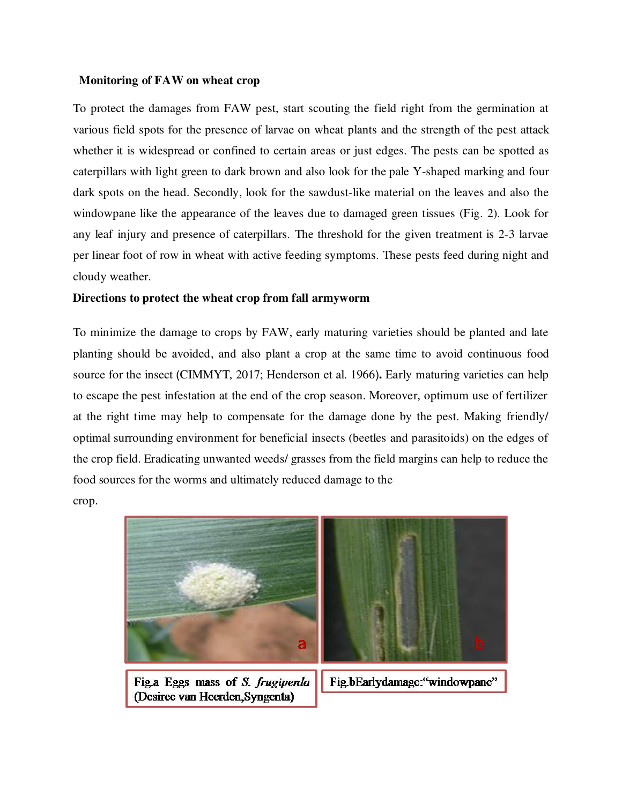#### **Monitoring of FAW on wheat crop**

To protect the damages from FAW pest, start scouting the field right from the germination at various field spots for the presence of larvae on wheat plants and the strength of the pest attack whether it is widespread or confined to certain areas or just edges. The pests can be spotted as caterpillars with light green to dark brown and also look for the pale Y-shaped marking and four dark spots on the head. Secondly, look for the sawdust-like material on the leaves and also the windowpane like the appearance of the leaves due to damaged green tissues (Fig. 2). Look for any leaf injury and presence of caterpillars. The threshold for the given treatment is 2-3 larvae per linear foot of row in wheat with active feeding symptoms. These pests feed during night and cloudy weather.

#### **Directions to protect the wheat crop from fall armyworm**

To minimize the damage to crops by FAW, early maturing varieties should be planted and late planting should be avoided, and also plant a crop at the same time to avoid continuous food source for the insect (CIMMYT, 2017; Henderson et al. 1966)**.** Early maturing varieties can help to escape the pest infestation at the end of the crop season. Moreover, optimum use of fertilizer at the right time may help to compensate for the damage done by the pest. Making friendly/ optimal surrounding environment for beneficial insects (beetles and parasitoids) on the edges of the crop field. Eradicating unwanted weeds/ grasses from the field margins can help to reduce the food sources for the worms and ultimately reduced damage to the

crop.

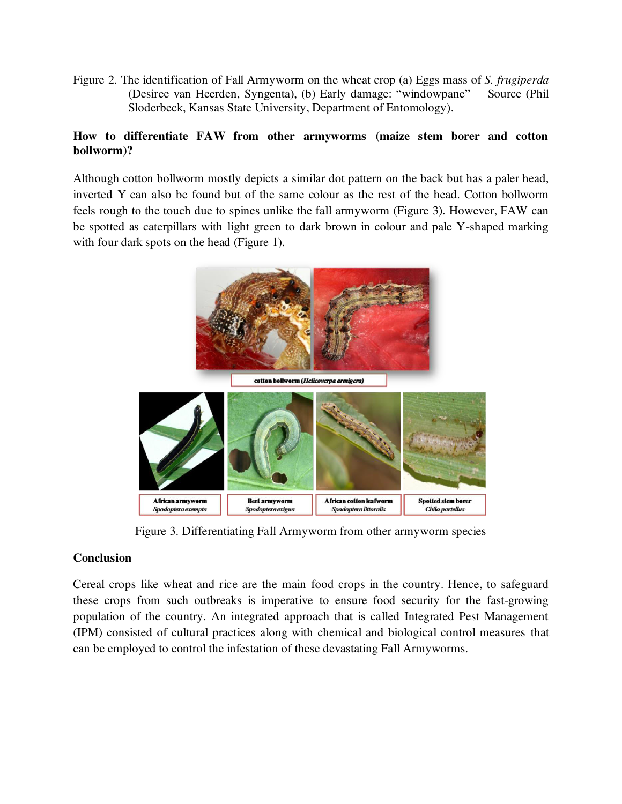Figure 2. The identification of Fall Armyworm on the wheat crop (a) Eggs mass of *S. frugiperda* (Desiree van Heerden, Syngenta), (b) Early damage: "windowpane" Source (Phil Sloderbeck, Kansas State University, Department of Entomology).

## **How to differentiate FAW from other armyworms (maize stem borer and cotton bollworm)?**

Although cotton bollworm mostly depicts a similar dot pattern on the back but has a paler head, inverted Y can also be found but of the same colour as the rest of the head. Cotton bollworm feels rough to the touch due to spines unlike the fall armyworm (Figure 3). However, FAW can be spotted as caterpillars with light green to dark brown in colour and pale Y-shaped marking with four dark spots on the head (Figure 1).



Figure 3. Differentiating Fall Armyworm from other armyworm species

# **Conclusion**

Cereal crops like wheat and rice are the main food crops in the country. Hence, to safeguard these crops from such outbreaks is imperative to ensure food security for the fast-growing population of the country. An integrated approach that is called Integrated Pest Management (IPM) consisted of cultural practices along with chemical and biological control measures that can be employed to control the infestation of these devastating Fall Armyworms.